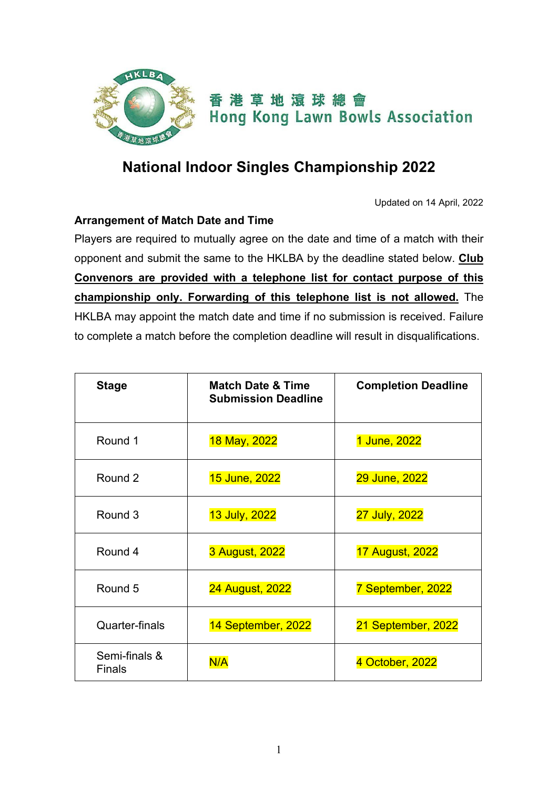

## **National Indoor Singles Championship 2022**

Updated on 14 April, 2022

## **Arrangement of Match Date and Time**

Players are required to mutually agree on the date and time of a match with their opponent and submit the same to the HKLBA by the deadline stated below. **Club Convenors are provided with a telephone list for contact purpose of this championship only. Forwarding of this telephone list is not allowed.** The HKLBA may appoint the match date and time if no submission is received. Failure to complete a match before the completion deadline will result in disqualifications.

| <b>Stage</b>                   | <b>Match Date &amp; Time</b><br><b>Submission Deadline</b> | <b>Completion Deadline</b> |
|--------------------------------|------------------------------------------------------------|----------------------------|
| Round 1                        | 18 May, 2022                                               | 1 June, 2022               |
| Round 2                        | 15 June, 2022                                              | 29 June, 2022              |
| Round 3                        | 13 July, 2022                                              | 27 July, 2022              |
| Round 4                        | 3 August, 2022                                             | <b>17 August, 2022</b>     |
| Round 5                        | <b>24 August, 2022</b>                                     | 7 September, 2022          |
| <b>Quarter-finals</b>          | 14 September, 2022                                         | 21 September, 2022         |
| Semi-finals &<br><b>Finals</b> | N/A                                                        | 4 October, 2022            |